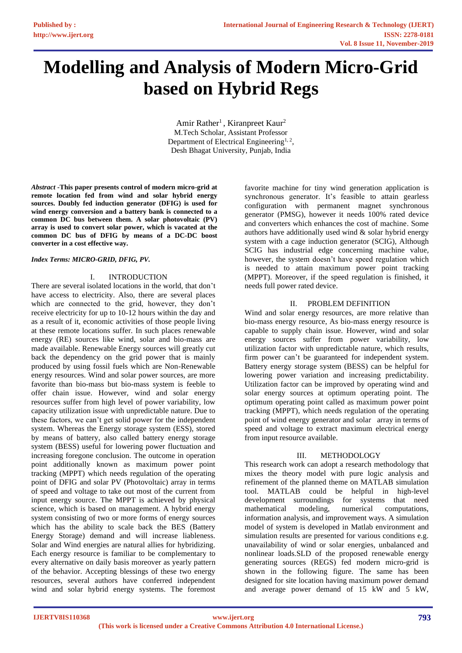# **Modelling and Analysis of Modern Micro-Grid based on Hybrid Regs**

Amir Rather<sup>1</sup>, Kiranpreet Kaur<sup>2</sup> M.Tech Scholar, Assistant Professor Department of Electrical Engineering<sup>1, 2</sup>, Desh Bhagat University, Punjab, India

*Abstract* **-This paper presents control of modern micro-grid at remote location fed from wind and solar hybrid energy sources. Doubly fed induction generator (DFIG) is used for wind energy conversion and a battery bank is connected to a common DC bus between them. A solar photovoltaic (PV) array is used to convert solar power, which is vacated at the common DC bus of DFIG by means of a DC-DC boost converter in a cost effective way.**

# *Index Terms: MICRO-GRID, DFIG, PV.*

# I. INTRODUCTION

There are several isolated locations in the world, that don't have access to electricity. Also, there are several places which are connected to the grid, however, they don't receive electricity for up to 10-12 hours within the day and as a result of it, economic activities of those people living at these remote locations suffer. In such places renewable energy (RE) sources like wind, solar and bio-mass are made available. Renewable Energy sources will greatly cut back the dependency on the grid power that is mainly produced by using fossil fuels which are Non-Renewable energy resources. Wind and solar power sources, are more favorite than bio-mass but bio-mass system is feeble to offer chain issue. However, wind and solar energy resources suffer from high level of power variability, low capacity utilization issue with unpredictable nature. Due to these factors, we can't get solid power for the independent system. Whereas the Energy storage system (ESS), stored by means of battery, also called battery energy storage system (BESS) useful for lowering power fluctuation and increasing foregone conclusion. The outcome in operation point additionally known as maximum power point tracking (MPPT) which needs regulation of the operating point of DFIG and solar PV (Photovoltaic) array in terms of speed and voltage to take out most of the current from input energy source. The MPPT is achieved by physical science, which is based on management. A hybrid energy system consisting of two or more forms of energy sources which has the ability to scale back the BES (Battery Energy Storage) demand and will increase liableness. Solar and Wind energies are natural allies for hybridizing. Each energy resource is familiar to be complementary to every alternative on daily basis moreover as yearly pattern of the behavior. Accepting blessings of these two energy resources, several authors have conferred independent wind and solar hybrid energy systems. The foremost

favorite machine for tiny wind generation application is synchronous generator. It's feasible to attain gearless configuration with permanent magnet synchronous generator (PMSG), however it needs 100% rated device and converters which enhances the cost of machine. Some authors have additionally used wind  $&$  solar hybrid energy system with a cage induction generator (SCIG), Although SCIG has industrial edge concerning machine value, however, the system doesn't have speed regulation which is needed to attain maximum power point tracking (MPPT). Moreover, if the speed regulation is finished, it needs full power rated device.

# II. PROBLEM DEFINITION

Wind and solar energy resources, are more relative than bio-mass energy resource, As bio-mass energy resource is capable to supply chain issue. However, wind and solar energy sources suffer from power variability, low utilization factor with unpredictable nature, which results, firm power can't be guaranteed for independent system. Battery energy storage system (BESS) can be helpful for lowering power variation and increasing predictability. Utilization factor can be improved by operating wind and solar energy sources at optimum operating point. The optimum operating point called as maximum power point tracking (MPPT), which needs regulation of the operating point of wind energy generator and solar array in terms of speed and voltage to extract maximum electrical energy from input resource available.

# III. METHODOLOGY

This research work can adopt a research methodology that mixes the theory model with pure logic analysis and refinement of the planned theme on MATLAB simulation tool. MATLAB could be helpful in high-level development surroundings for systems that need mathematical modeling, numerical computations, information analysis, and improvement ways. A simulation model of system is developed in Matlab environment and simulation results are presented for various conditions e.g. unavailability of wind or solar energies, unbalanced and nonlinear loads.SLD of the proposed renewable energy generating sources (REGS) fed modern micro-grid is shown in the following figure. The same has been designed for site location having maximum power demand and average power demand of 15 kW and 5 kW,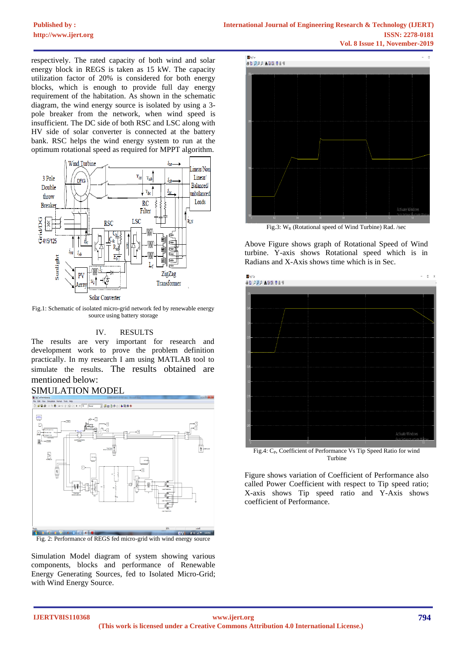respectively. The rated capacity of both wind and solar energy block in REGS is taken as 15 kW. The capacity utilization factor of 20% is considered for both energy blocks, which is enough to provide full day energy requirement of the habitation. As shown in the schematic diagram, the wind energy source is isolated by using a 3 pole breaker from the network, when wind speed is insufficient. The DC side of both RSC and LSC along with HV side of solar converter is connected at the battery bank. RSC helps the wind energy system to run at the optimum rotational speed as required for MPPT algorithm.



Fig.1: Schematic of isolated micro-grid network fed by renewable energy source using battery storage

# IV. RESULTS

The results are very important for research and development work to prove the problem definition practically. In my research I am using MATLAB tool to simulate the results. The results obtained are mentioned below:

# SIMULATION MODEL



Fig. 2: Performance of REGS fed micro-grid with wind energy source

Simulation Model diagram of system showing various components, blocks and performance of Renewable Energy Generating Sources, fed to Isolated Micro-Grid; with Wind Energy Source.



Fig.3:  $W_R$  (Rotational speed of Wind Turbine) Rad. /sec

Above Figure shows graph of Rotational Speed of Wind turbine. Y-axis shows Rotational speed which is in Radians and X-Axis shows time which is in Sec.



Fig.4: C<sub>P</sub>, Coefficient of Performance Vs Tip Speed Ratio for wind Turbine

Figure shows variation of Coefficient of Performance also called Power Coefficient with respect to Tip speed ratio; X-axis shows Tip speed ratio and Y-Axis shows coefficient of Performance.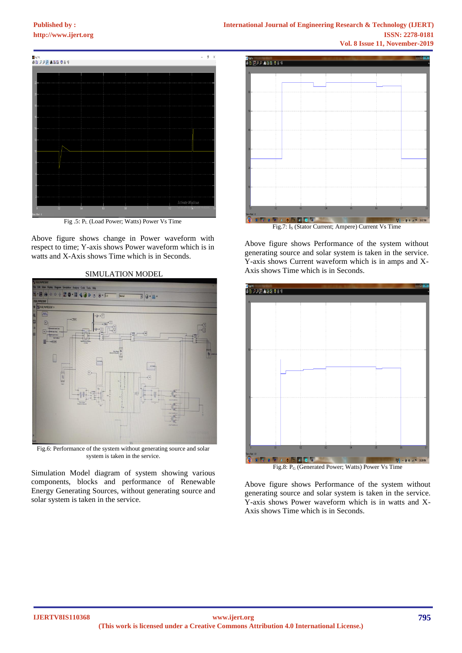

Fig .5: P<sup>L</sup> (Load Power; Watts) Power Vs Time

Above figure shows change in Power waveform with respect to time; Y-axis shows Power waveform which is in watts and X-Axis shows Time which is in Seconds.



# SIMULATION MODEL

Fig.6: Performance of the system without generating source and solar system is taken in the service.

Simulation Model diagram of system showing various components, blocks and performance of Renewable Energy Generating Sources, without generating source and solar system is taken in the service.



Fig.7: I<sub>s</sub> (Stator Current; Ampere) Current Vs Time

Above figure shows Performance of the system without generating source and solar system is taken in the service. Y-axis shows Current waveform which is in amps and X-Axis shows Time which is in Seconds.



Above figure shows Performance of the system without generating source and solar system is taken in the service. Y-axis shows Power waveform which is in watts and X-Axis shows Time which is in Seconds.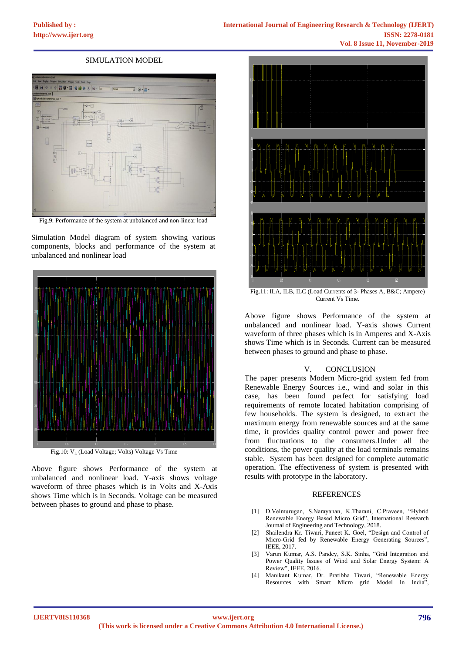# SIMULATION MODEL



Fig.9: Performance of the system at unbalanced and non-linear load

Simulation Model diagram of system showing various components, blocks and performance of the system at unbalanced and nonlinear load



Fig.10: V<sub>L</sub> (Load Voltage; Volts) Voltage Vs Time

Above figure shows Performance of the system at unbalanced and nonlinear load. Y-axis shows voltage waveform of three phases which is in Volts and X-Axis shows Time which is in Seconds. Voltage can be measured between phases to ground and phase to phase.



Fig.11: ILA, ILB, ILC (Load Currents of 3- Phases A, B&C; Ampere) Current Vs Time.

Above figure shows Performance of the system at unbalanced and nonlinear load. Y-axis shows Current waveform of three phases which is in Amperes and X-Axis shows Time which is in Seconds. Current can be measured between phases to ground and phase to phase.

# V. CONCLUSION

The paper presents Modern Micro-grid system fed from Renewable Energy Sources i.e., wind and solar in this case, has been found perfect for satisfying load requirements of remote located habitation comprising of few households. The system is designed, to extract the maximum energy from renewable sources and at the same time, it provides quality control power and power free from fluctuations to the consumers.Under all the conditions, the power quality at the load terminals remains stable. System has been designed for complete automatic operation. The effectiveness of system is presented with results with prototype in the laboratory.

### **REFERENCES**

- [1] D.Velmurugan, S.Narayanan, K.Tharani, C.Praveen, "Hybrid Renewable Energy Based Micro Grid", International Research Journal of Engineering and Technology, 2018.
- [2] Shailendra Kr. Tiwari, Puneet K. Goel, "Design and Control of Micro-Grid fed by Renewable Energy Generating Sources", IEEE, 2017.
- [3] Varun Kumar, A.S. Pandey, S.K. Sinha, "Grid Integration and Power Quality Issues of Wind and Solar Energy System: A Review", IEEE, 2016.
- [4] Manikant Kumar, Dr. Pratibha Tiwari, "Renewable Energy Resources with Smart Micro grid Model In India",